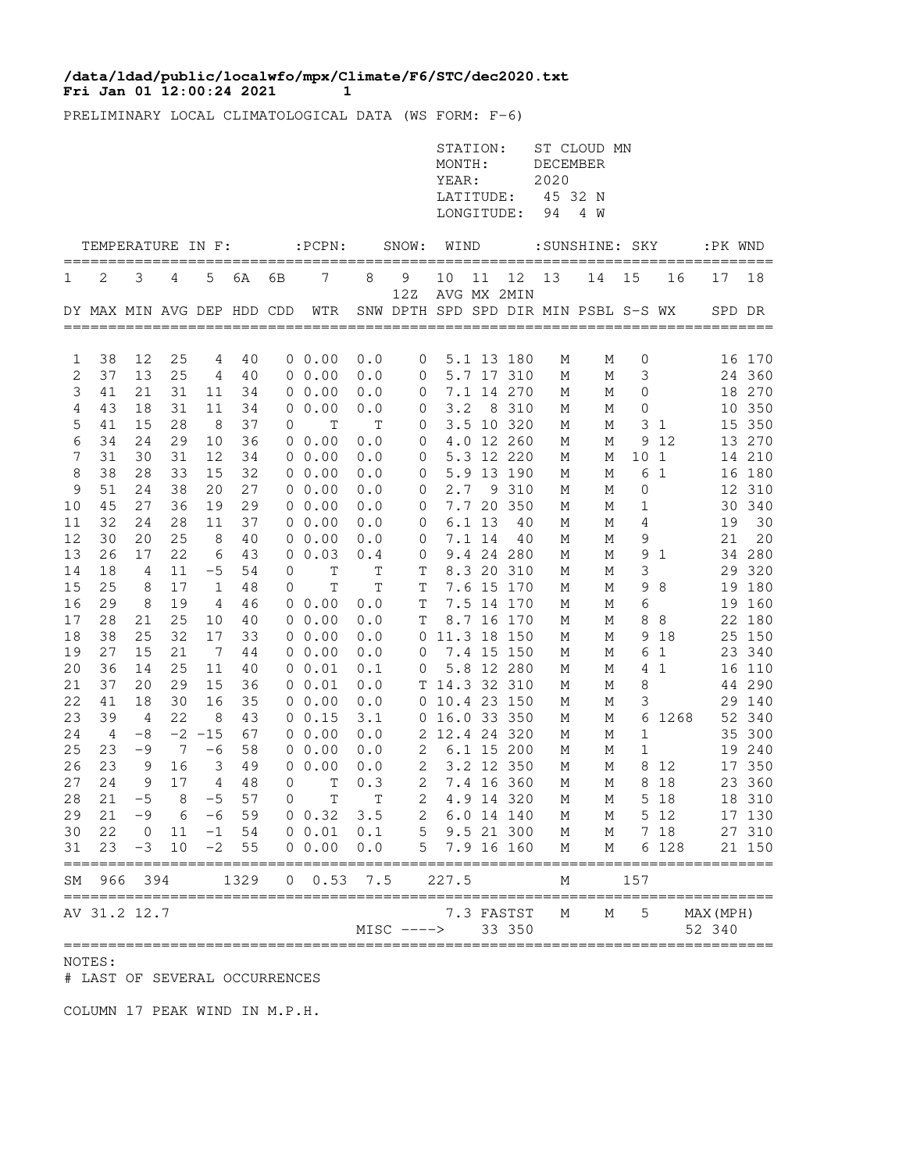## **Fri Jan 01 12:00:24 2021 1 /data/ldad/public/localwfo/mpx/Climate/F6/STC/dec2020.txt**

PRELIMINARY LOCAL CLIMATOLOGICAL DATA (WS FORM: F-6)

|          |                            |                        |                 |              |          |          |                       |              |               | STATION:<br>MONTH:<br>YEAR:<br>LATITUDE:<br>LONGITUDE: |        |                          | <b>DECEMBER</b><br>2020<br>45 32 N<br>94 | ST CLOUD MN<br>4 W                   |              |               |           |                  |
|----------|----------------------------|------------------------|-----------------|--------------|----------|----------|-----------------------|--------------|---------------|--------------------------------------------------------|--------|--------------------------|------------------------------------------|--------------------------------------|--------------|---------------|-----------|------------------|
|          | TEMPERATURE IN F:          |                        |                 |              |          |          | $:$ PCPN $:$          |              | SNOW:         | WIND                                                   |        |                          |                                          | :SUNSHINE: SKY                       |              |               | :PK WND   | =====            |
| 1        | 2                          | 3                      | 4               | 5            | 6A       | 6В       | 7                     | 8            | 9             | 10                                                     | 11     | 12                       | 13                                       | 14                                   | 15           | 16            | 17        | 18               |
|          | DY MAX MIN AVG DEP HDD CDD |                        |                 |              |          |          | WTR                   |              | 12Z           |                                                        |        | AVG MX 2MIN              |                                          | SNW DPTH SPD SPD DIR MIN PSBL S-S WX |              |               | SPD DR    |                  |
| 1        | 38                         | 12                     | 25              | 4            | 40       |          | $0\;\;0.00$           | 0.0          | $\mathbf 0$   |                                                        |        | 5.1 13 180               | М                                        | М                                    | 0            |               |           | 16 170           |
| 2        | 37                         | 13                     | 25              | 4            | 40       |          | $0\;\;0.00$           | 0.0          | 0             |                                                        |        | 5.7 17 310               | М                                        | М                                    | 3            |               |           | 24 360           |
| 3        | 41                         | 21                     | 31              | 11           | 34       |          | 00.00                 | 0.0          | 0             |                                                        |        | 7.1 14 270               | М                                        | М                                    | 0            |               |           | 18 270           |
| 4        | 43                         | 18                     | 31              | 11           | 34       |          | 00.00                 | 0.0          | 0             | 3.2                                                    |        | 8 310                    | М                                        | М                                    | 0            |               |           | 10 350           |
| 5        | 41                         | 15                     | 28              | 8            | 37       | 0        | $\mathbb T$           | $\mathbb T$  | 0             |                                                        |        | 3.5 10 320               | М                                        | Μ                                    | 3            | $\mathbf{1}$  |           | 15 350           |
| 6        | 34                         | 24                     | 29              | 10           | 36       |          | $0\;\;0.00$           | 0.0          | 0             |                                                        |        | 4.0 12 260               | М                                        | М                                    | 9            | 12            |           | 13 270           |
| 7        | 31                         | 30                     | 31              | 12           | 34       |          | $0\;\;0.00$           | 0.0          | 0             |                                                        |        | 5.3 12 220               | М                                        | М                                    | 10           | $\mathbf{1}$  |           | 14 210           |
| 8        | 38                         | 28                     | 33              | 15           | 32       |          | $0\;\;0.00$           | 0.0          | 0             |                                                        |        | 5.9 13 190               | М                                        | М                                    | 6            | 1             |           | 16 180           |
| 9        | 51                         | 24                     | 38              | 20           | 27       |          | $0\;\;0.00$           | 0.0          | 0             | 2.7                                                    |        | 9 310                    | М                                        | М                                    | 0            |               |           | 12 310           |
| 10       | 45                         | 27                     | 36              | 19           | 29       |          | $0\;\;0.00$           | 0.0          | 0             |                                                        |        | 7.7 20 350               | М                                        | М                                    | 1            |               |           | 30 340           |
| 11       | 32                         | 24                     | 28              | 11           | 37       |          | $0\;\;0.00$           | 0.0          | 0             |                                                        | 6.1 13 | 40                       | М                                        | М                                    | 4            |               | 19        | 30               |
| 12       | 30                         | 20                     | 25              | 8            | 40       |          | 00.00                 | 0.0          | 0             |                                                        | 7.1 14 | 40                       | М                                        | М                                    | 9            |               | 21        | 20               |
| 13<br>14 | 26<br>18                   | 17<br>4                | 22<br>11        | 6<br>$-5$    | 43<br>54 | 0        | 0 0.03<br>$\mathbb T$ | 0.4<br>T     | 0<br>Τ        |                                                        |        | 9.4 24 280<br>8.3 20 310 | М<br>М                                   | М                                    | 9<br>3       | $\mathbf{1}$  | 29        | 34 280<br>320    |
| 15       | 25                         | 8                      | 17              | 1            | 48       | 0        | Т                     | T            | T             |                                                        |        | 7.6 15 170               | М                                        | М<br>М                               | 9            | 8             | 19        | 180              |
| 16       | 29                         | 8                      | 19              | 4            | 46       |          | $0\;\;0.00$           | 0.0          | T             |                                                        |        | 7.5 14 170               | М                                        | М                                    | 6            |               |           | 19 160           |
| 17       | 28                         | 21                     | 25              | 10           | 40       |          | $0\;\;0.00$           | 0.0          | $\mathbb T$   |                                                        |        | 8.7 16 170               | М                                        | М                                    | 8            | 8             |           | 22 180           |
| 18       | 38                         | 25                     | 32              | 17           | 33       |          | $0\;\;0.00$           | 0.0          | 0             | 11.3 18 150                                            |        |                          | М                                        | М                                    | 9            | 18            |           | 25 150           |
| 19       | 27                         | 15                     | 21              | -7           | 44       |          | 0 0.00                | 0.0          | 0             |                                                        |        | 7.4 15 150               | М                                        | М                                    | 6            | 1             |           | 23 340           |
| 20       | 36                         | 14                     | 25              | 11           | 40       |          | $0\;\;0.01$           | 0.1          | 0             |                                                        |        | 5.8 12 280               | М                                        | М                                    | 4            | 1             |           | 16 110           |
| 21       | 37                         | 20                     | 29              | 15           | 36       |          | $0\;\;0.01$           | 0.0          |               | T 14.3 32 310                                          |        |                          | М                                        | М                                    | 8            |               |           | 44 290           |
| 22       | 41                         | 18                     | 30              | 16           | 35       |          | 0 0.00                | 0.0          |               | 0 10.4 23 150                                          |        |                          | М                                        | М                                    | 3            |               |           | 29 140           |
| 23       | 39                         | 4                      | 22              | 8            | 43       |          | 0 0.15                | 3.1          |               | 0 16.0 33 350                                          |        |                          | М                                        | Μ                                    | 6            | 1268          |           | 52 340           |
| 24       | 4                          | $-8$                   |                 | $-2$ $-15$   | 67       |          | $0\;\;0.00$           | 0.0          |               | 2 12.4 24 320                                          |        |                          | М                                        | М                                    | $\mathbf{1}$ |               |           | 35 300           |
| 25       | 23                         | $-9$                   | $7\phantom{.0}$ | $-6$         | 58       |          | 0 0.00                | 0.0          | 2             |                                                        |        | 6.1 15 200               | М                                        | М                                    | 1            |               |           | 19 240           |
| 26       | 23                         | 9                      | 16              | 3            | 49       | 0        | 0.00                  | 0.0          | 2             |                                                        |        | 3.2 12 350               | М                                        | М                                    | 8            | 12            |           | 17 350           |
| 27       | 24                         | 9                      | 17              | 4            | 48       | 0        | T                     | 0.3          | 2             |                                                        |        | 7.4 16 360               | М                                        | М                                    | 8            | 18            |           | 23 360           |
| 28       | 21                         | $-5$                   | 8               | $-5$         | 57       | $\Omega$ | T                     | T            | 2             |                                                        |        | 4.9 14 320               | М                                        | М                                    | 5            | 18            |           | 18 310           |
| 29       | 21                         | $-9$                   | 6               | $-6$         | 59       |          | $0 \t 0.32$           | 3.5          | $\sqrt{2}$    |                                                        |        | 6.0 14 140               | М                                        | М                                    |              | 5 12          |           | 17 130           |
| 30<br>31 | 22<br>23                   | $\overline{0}$<br>$-3$ | 11<br>10        | $-1$<br>$-2$ | 54<br>55 |          | 0 0.01<br>0 0.00      | 0.1<br>$0.0$ | 5<br>5        |                                                        |        | 9.5 21 300<br>7.9 16 160 | М<br>М                                   | М<br>М                               |              | 7 18<br>6 128 |           | 27 310<br>21 150 |
|          |                            |                        |                 |              |          |          |                       |              |               |                                                        |        |                          |                                          |                                      |              |               |           |                  |
| SΜ       | 966<br>===========         | 394                    |                 |              | 1329     | 0        | 0.53                  | 7.5          |               | 227.5                                                  |        |                          | М                                        |                                      | 157          |               |           |                  |
|          | AV 31.2 12.7               |                        |                 |              |          |          |                       |              |               |                                                        |        | 7.3 FASTST               | М                                        | М                                    | 5            |               | MAX (MPH) |                  |
|          |                            |                        |                 |              |          |          |                       |              | $MISC$ $--->$ |                                                        |        | 33 350                   |                                          |                                      |              |               | 52 340    |                  |

NOTES:

# LAST OF SEVERAL OCCURRENCES

COLUMN 17 PEAK WIND IN M.P.H.